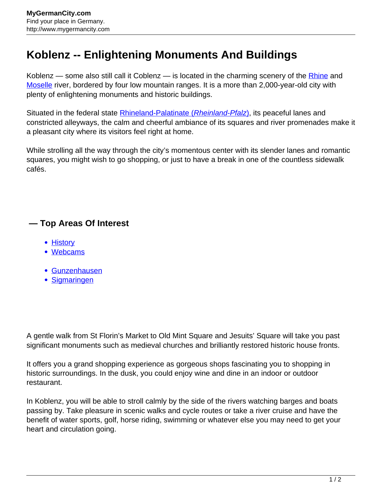## **Koblenz -- Enlightening Monuments And Buildings**

Koblenz — some also still call it Coblenz — is located in the charming scenery of the [Rhine](http://www.mygermancity.com/rhine) and [Moselle](http://www.mygermancity.com/moselle) river, bordered by four low mountain ranges. It is a more than 2,000-year-old city with plenty of enlightening monuments and historic buildings.

Situated in the federal state **[Rhineland-Palatinate \(](http://www.mygermancity.com/rhineland-palatinate)[Rheinland-Pfalz](http://www.mygermancity.com/rhineland-palatinate)[\)](http://www.mygermancity.com/rhineland-palatinate)**, its peaceful lanes and constricted alleyways, the calm and cheerful ambiance of its squares and river promenades make it a pleasant city where its visitors feel right at home.

While strolling all the way through the city's momentous center with its slender lanes and romantic squares, you might wish to go shopping, or just to have a break in one of the countless sidewalk cafés.

## **— Top Areas Of Interest**

- **[History](http://www.mygermancity.com/leipzig-history)**
- [Webcams](http://www.mygermancity.com/neustadt-holstein-webcams)
- [Gunzenhausen](http://www.mygermancity.com/gunzenhausen)
- [Sigmaringen](http://www.mygermancity.com/sigmaringen)

A gentle walk from St Florin's Market to Old Mint Square and Jesuits' Square will take you past significant monuments such as medieval churches and brilliantly restored historic house fronts.

It offers you a grand shopping experience as gorgeous shops fascinating you to shopping in historic surroundings. In the dusk, you could enjoy wine and dine in an indoor or outdoor restaurant.

In Koblenz, you will be able to stroll calmly by the side of the rivers watching barges and boats passing by. Take pleasure in scenic walks and cycle routes or take a river cruise and have the benefit of water sports, golf, horse riding, swimming or whatever else you may need to get your heart and circulation going.